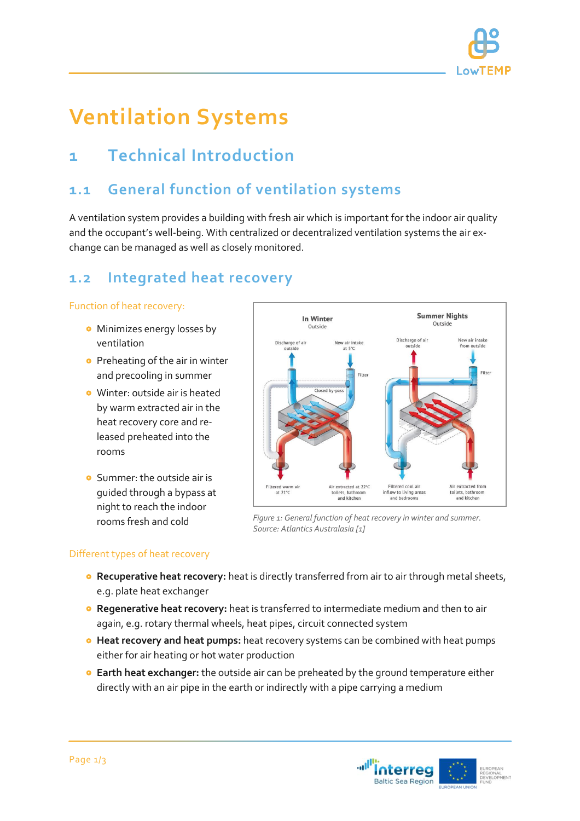

# **Ventilation Systems**

# **1 Technical Introduction**

### **1.1 General function of ventilation systems**

A ventilation system provides a building with fresh air which is important for the indoor air quality and the occupant's well-being. With centralized or decentralized ventilation systems the air exchange can be managed as well as closely monitored.

### **1.2 Integrated heat recovery**

#### Function of heat recovery:

- **•** Minimizes energy losses by ventilation
- **•** Preheating of the air in winter and precooling in summer
- Winter: outside air is heated by warm extracted air in the heat recovery core and released preheated into the rooms
- **o** Summer: the outside air is guided through a bypass at night to reach the indoor rooms fresh and cold



*Figure 1: General function of heat recovery in winter and summer. Source: Atlantics Australasia [1]*

#### Different types of heat recovery

- **Recuperative heat recovery:** heat is directly transferred from air to air through metal sheets, e.g. plate heat exchanger
- **Regenerative heat recovery:** heat is transferred to intermediate medium and then to air again, e.g. rotary thermal wheels, heat pipes, circuit connected system
- **Heat recovery and heat pumps:** heat recovery systems can be combined with heat pumps either for air heating or hot water production
- **Earth heat exchanger:** the outside air can be preheated by the ground temperature either directly with an air pipe in the earth or indirectly with a pipe carrying a medium

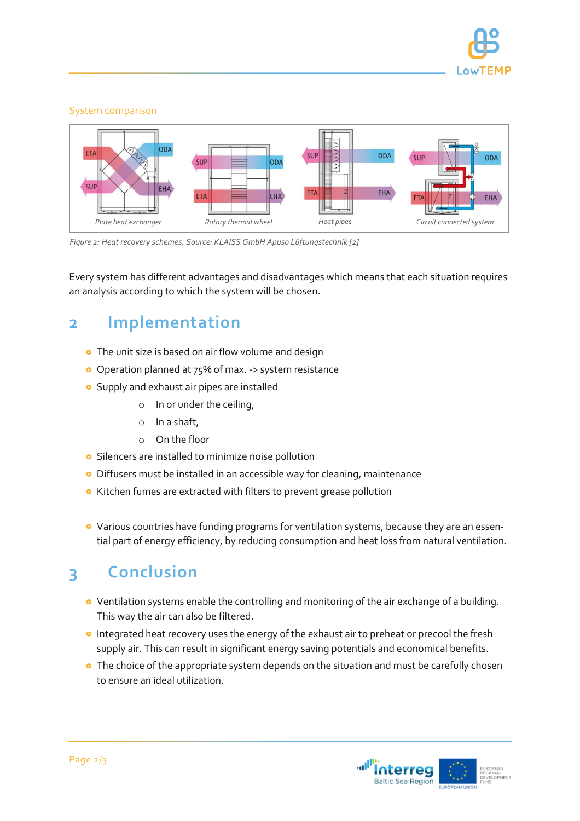

#### System comparison



*Figure 2: Heat recovery schemes. Source: KLAISS GmbH Apuso Lüftungstechnik [2]*

Every system has different advantages and disadvantages which means that each situation requires an analysis according to which the system will be chosen.

## **2 Implementation**

- **•** The unit size is based on air flow volume and design
- Operation planned at 75% of max. -> system resistance
- **•** Supply and exhaust air pipes are installed
	- o In or under the ceiling,
	- o In a shaft,
	- o On the floor
- **•** Silencers are installed to minimize noise pollution
- Diffusers must be installed in an accessible way for cleaning, maintenance
- **•** Kitchen fumes are extracted with filters to prevent grease pollution
- Various countries have funding programs for ventilation systems, because they are an essential part of energy efficiency, by reducing consumption and heat loss from natural ventilation.

# **3 Conclusion**

- Ventilation systems enable the controlling and monitoring of the air exchange of a building. This way the air can also be filtered.
- **o** Integrated heat recovery uses the energy of the exhaust air to preheat or precool the fresh supply air. This can result in significant energy saving potentials and economical benefits.
- **•** The choice of the appropriate system depends on the situation and must be carefully chosen to ensure an ideal utilization.